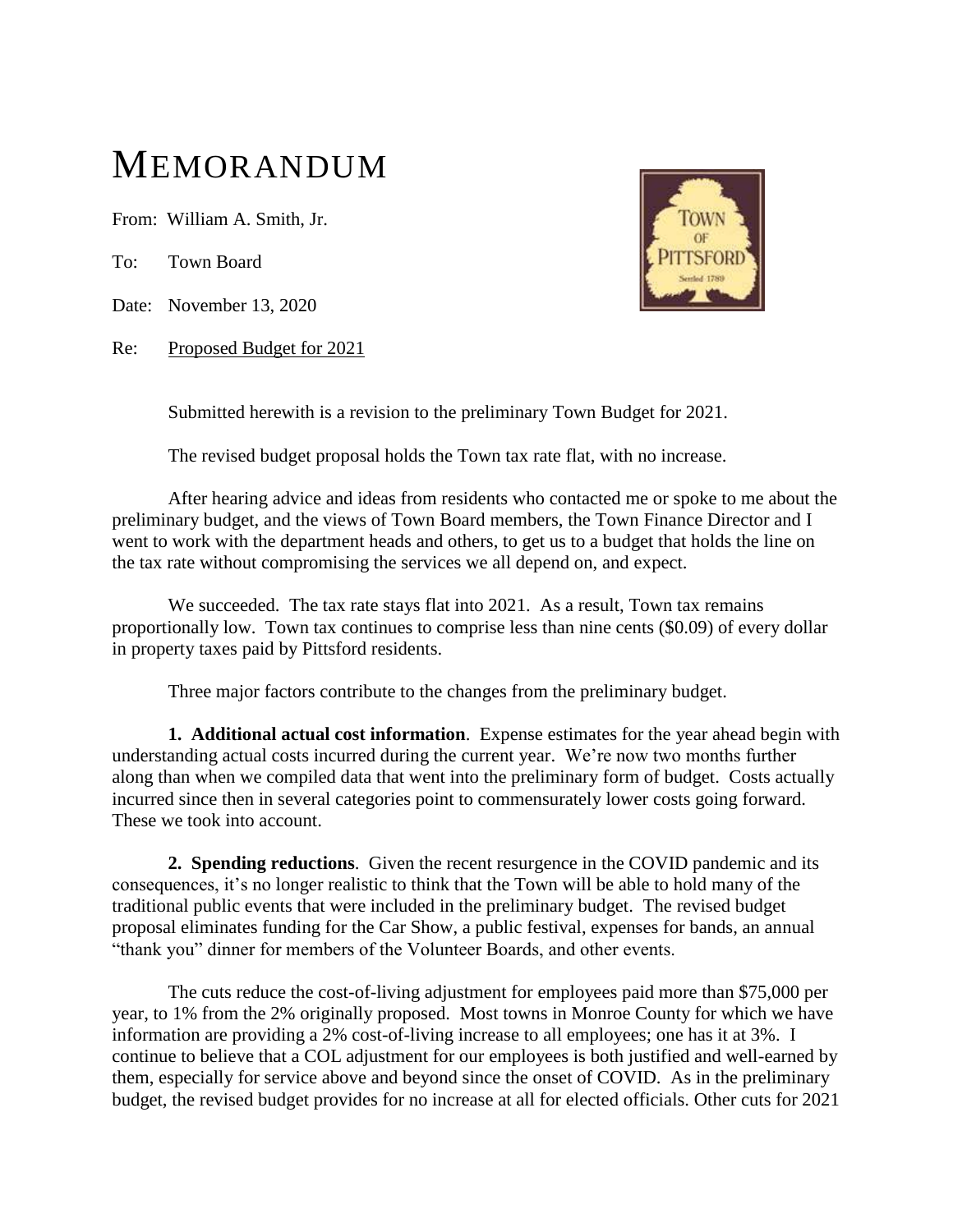## MEMORANDUM

From: William A. Smith, Jr.

To: Town Board

Date: November 13, 2020

Re: Proposed Budget for 2021



Submitted herewith is a revision to the preliminary Town Budget for 2021.

The revised budget proposal holds the Town tax rate flat, with no increase.

After hearing advice and ideas from residents who contacted me or spoke to me about the preliminary budget, and the views of Town Board members, the Town Finance Director and I went to work with the department heads and others, to get us to a budget that holds the line on the tax rate without compromising the services we all depend on, and expect.

We succeeded. The tax rate stays flat into 2021. As a result, Town tax remains proportionally low. Town tax continues to comprise less than nine cents (\$0.09) of every dollar in property taxes paid by Pittsford residents.

Three major factors contribute to the changes from the preliminary budget.

**1. Additional actual cost information**. Expense estimates for the year ahead begin with understanding actual costs incurred during the current year. We're now two months further along than when we compiled data that went into the preliminary form of budget. Costs actually incurred since then in several categories point to commensurately lower costs going forward. These we took into account.

**2. Spending reductions**. Given the recent resurgence in the COVID pandemic and its consequences, it's no longer realistic to think that the Town will be able to hold many of the traditional public events that were included in the preliminary budget. The revised budget proposal eliminates funding for the Car Show, a public festival, expenses for bands, an annual "thank you" dinner for members of the Volunteer Boards, and other events.

The cuts reduce the cost-of-living adjustment for employees paid more than \$75,000 per year, to 1% from the 2% originally proposed. Most towns in Monroe County for which we have information are providing a 2% cost-of-living increase to all employees; one has it at 3%. I continue to believe that a COL adjustment for our employees is both justified and well-earned by them, especially for service above and beyond since the onset of COVID. As in the preliminary budget, the revised budget provides for no increase at all for elected officials. Other cuts for 2021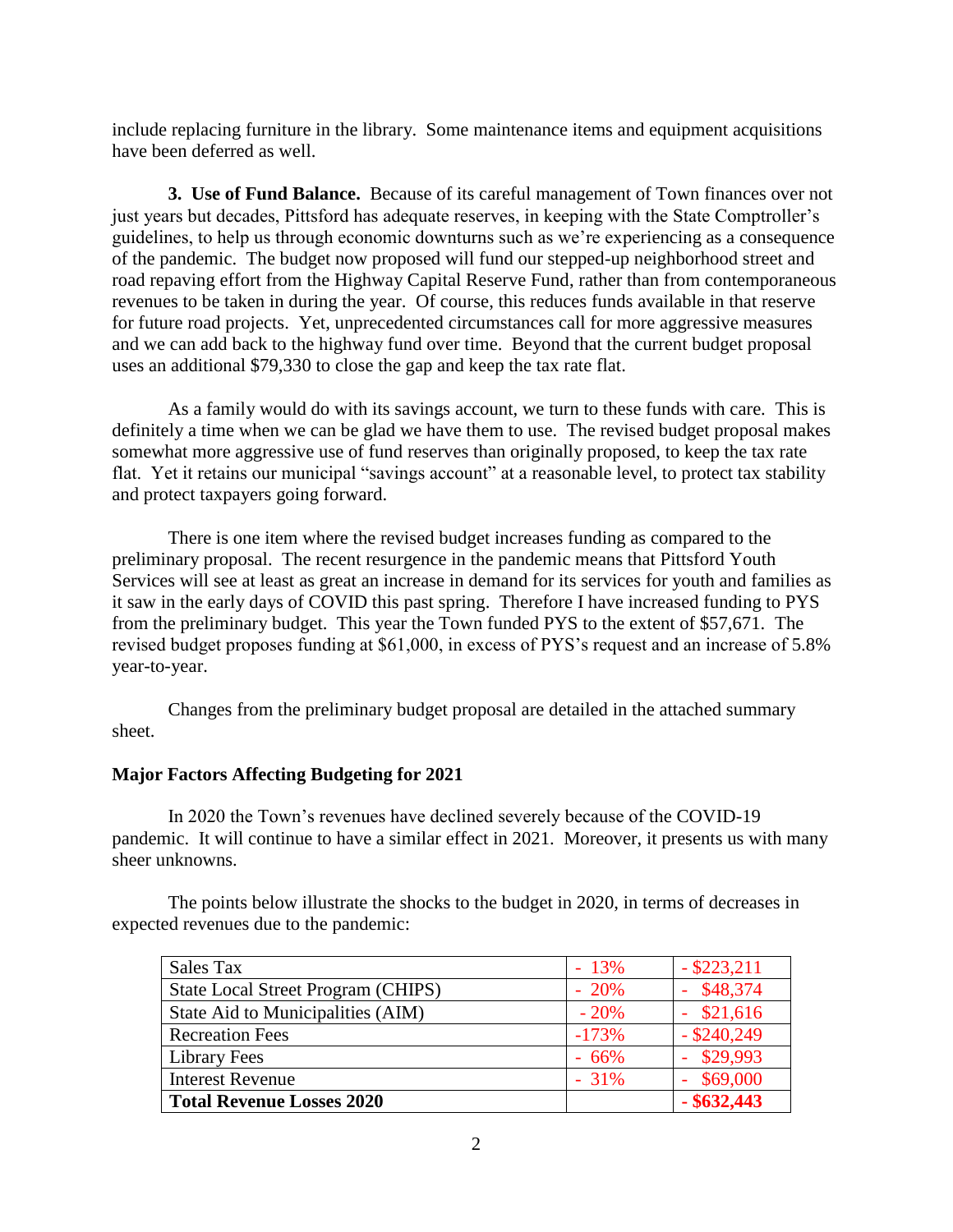include replacing furniture in the library. Some maintenance items and equipment acquisitions have been deferred as well.

**3. Use of Fund Balance.** Because of its careful management of Town finances over not just years but decades, Pittsford has adequate reserves, in keeping with the State Comptroller's guidelines, to help us through economic downturns such as we're experiencing as a consequence of the pandemic. The budget now proposed will fund our stepped-up neighborhood street and road repaving effort from the Highway Capital Reserve Fund, rather than from contemporaneous revenues to be taken in during the year. Of course, this reduces funds available in that reserve for future road projects. Yet, unprecedented circumstances call for more aggressive measures and we can add back to the highway fund over time. Beyond that the current budget proposal uses an additional \$79,330 to close the gap and keep the tax rate flat.

As a family would do with its savings account, we turn to these funds with care. This is definitely a time when we can be glad we have them to use. The revised budget proposal makes somewhat more aggressive use of fund reserves than originally proposed, to keep the tax rate flat. Yet it retains our municipal "savings account" at a reasonable level, to protect tax stability and protect taxpayers going forward.

There is one item where the revised budget increases funding as compared to the preliminary proposal. The recent resurgence in the pandemic means that Pittsford Youth Services will see at least as great an increase in demand for its services for youth and families as it saw in the early days of COVID this past spring. Therefore I have increased funding to PYS from the preliminary budget. This year the Town funded PYS to the extent of \$57,671. The revised budget proposes funding at \$61,000, in excess of PYS's request and an increase of 5.8% year-to-year.

Changes from the preliminary budget proposal are detailed in the attached summary sheet.

## **Major Factors Affecting Budgeting for 2021**

In 2020 the Town's revenues have declined severely because of the COVID-19 pandemic. It will continue to have a similar effect in 2021. Moreover, it presents us with many sheer unknowns.

The points below illustrate the shocks to the budget in 2020, in terms of decreases in expected revenues due to the pandemic:

| Sales Tax                          | $-13%$  | $-$ \$223,211 |
|------------------------------------|---------|---------------|
| State Local Street Program (CHIPS) | $-20%$  | \$48,374      |
| State Aid to Municipalities (AIM)  | $-20%$  | \$21,616      |
| <b>Recreation Fees</b>             | $-173%$ | $-$ \$240,249 |
| <b>Library Fees</b>                | $-66%$  | \$29,993      |
| <b>Interest Revenue</b>            | $-31\%$ | \$69,000      |
| <b>Total Revenue Losses 2020</b>   |         | $-$ \$632,443 |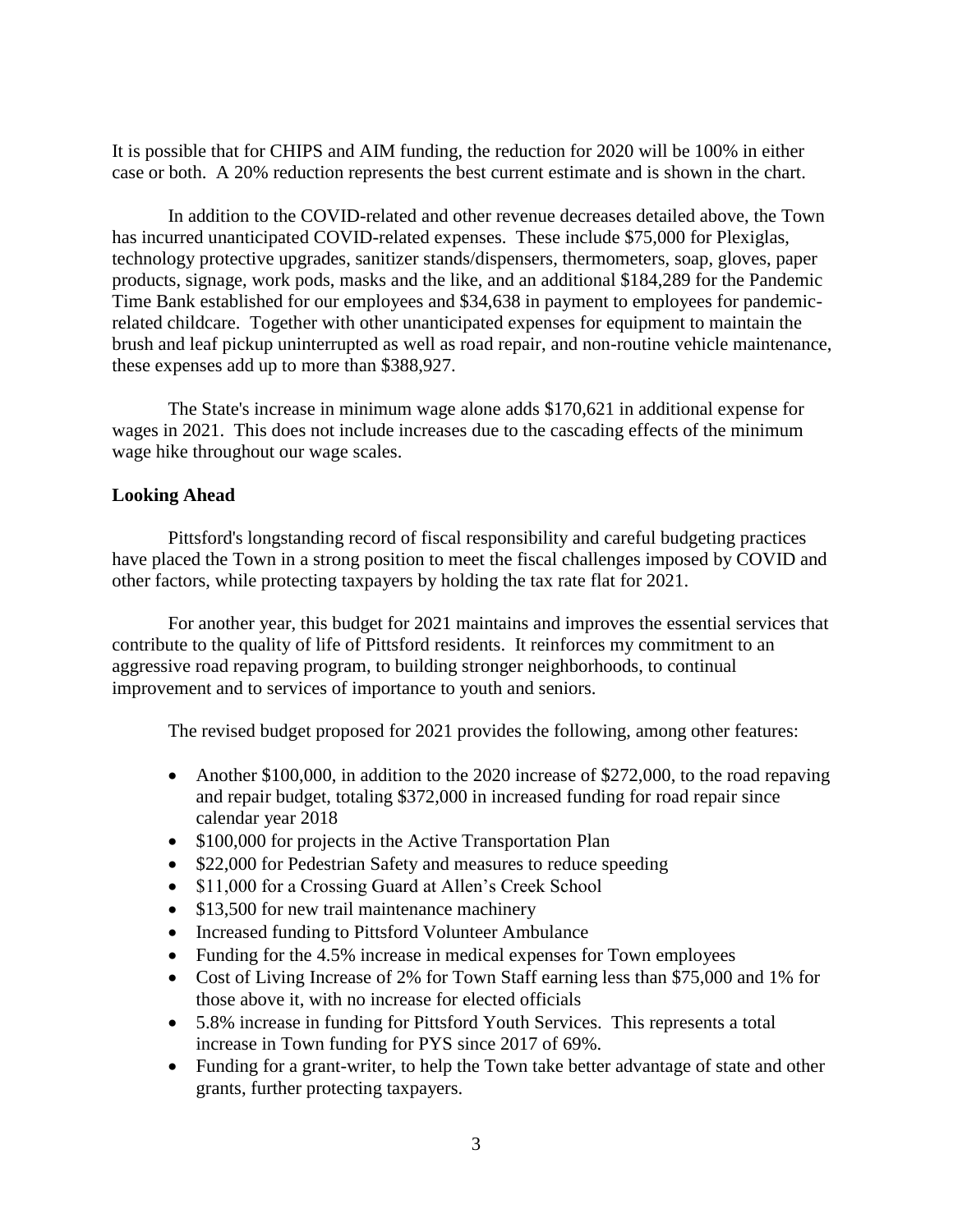It is possible that for CHIPS and AIM funding, the reduction for 2020 will be 100% in either case or both. A 20% reduction represents the best current estimate and is shown in the chart.

In addition to the COVID-related and other revenue decreases detailed above, the Town has incurred unanticipated COVID-related expenses. These include \$75,000 for Plexiglas, technology protective upgrades, sanitizer stands/dispensers, thermometers, soap, gloves, paper products, signage, work pods, masks and the like, and an additional \$184,289 for the Pandemic Time Bank established for our employees and \$34,638 in payment to employees for pandemicrelated childcare. Together with other unanticipated expenses for equipment to maintain the brush and leaf pickup uninterrupted as well as road repair, and non-routine vehicle maintenance, these expenses add up to more than \$388,927.

The State's increase in minimum wage alone adds \$170,621 in additional expense for wages in 2021. This does not include increases due to the cascading effects of the minimum wage hike throughout our wage scales.

## **Looking Ahead**

Pittsford's longstanding record of fiscal responsibility and careful budgeting practices have placed the Town in a strong position to meet the fiscal challenges imposed by COVID and other factors, while protecting taxpayers by holding the tax rate flat for 2021.

For another year, this budget for 2021 maintains and improves the essential services that contribute to the quality of life of Pittsford residents. It reinforces my commitment to an aggressive road repaving program, to building stronger neighborhoods, to continual improvement and to services of importance to youth and seniors.

The revised budget proposed for 2021 provides the following, among other features:

- Another \$100,000, in addition to the 2020 increase of \$272,000, to the road repaving and repair budget, totaling \$372,000 in increased funding for road repair since calendar year 2018
- \$100,000 for projects in the Active Transportation Plan
- \$22,000 for Pedestrian Safety and measures to reduce speeding
- \$11,000 for a Crossing Guard at Allen's Creek School
- \$13,500 for new trail maintenance machinery
- Increased funding to Pittsford Volunteer Ambulance
- Funding for the 4.5% increase in medical expenses for Town employees
- Cost of Living Increase of 2% for Town Staff earning less than \$75,000 and 1% for those above it, with no increase for elected officials
- 5.8% increase in funding for Pittsford Youth Services. This represents a total increase in Town funding for PYS since 2017 of 69%.
- Funding for a grant-writer, to help the Town take better advantage of state and other grants, further protecting taxpayers.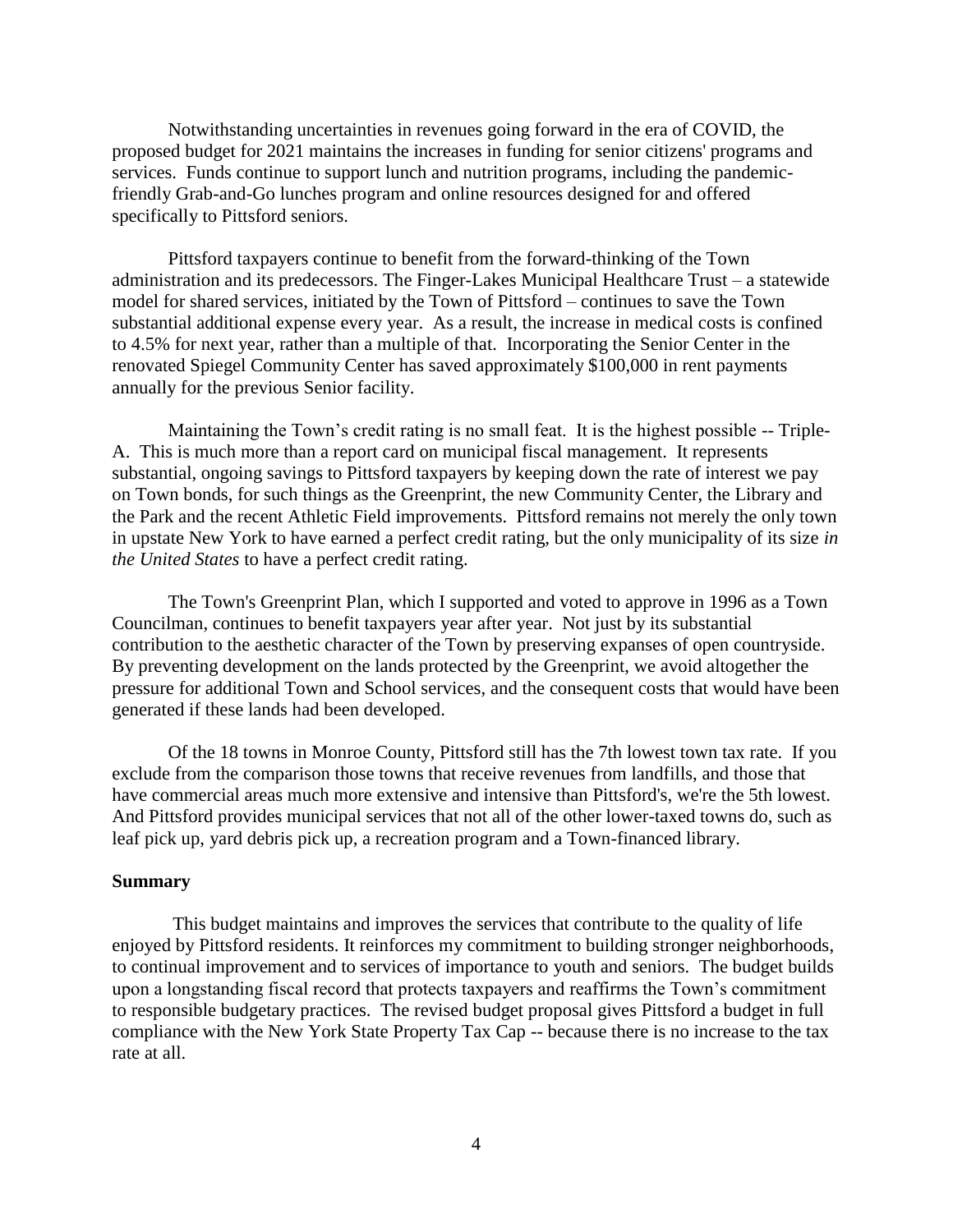Notwithstanding uncertainties in revenues going forward in the era of COVID, the proposed budget for 2021 maintains the increases in funding for senior citizens' programs and services. Funds continue to support lunch and nutrition programs, including the pandemicfriendly Grab-and-Go lunches program and online resources designed for and offered specifically to Pittsford seniors.

Pittsford taxpayers continue to benefit from the forward-thinking of the Town administration and its predecessors. The Finger-Lakes Municipal Healthcare Trust – a statewide model for shared services, initiated by the Town of Pittsford – continues to save the Town substantial additional expense every year. As a result, the increase in medical costs is confined to 4.5% for next year, rather than a multiple of that. Incorporating the Senior Center in the renovated Spiegel Community Center has saved approximately \$100,000 in rent payments annually for the previous Senior facility.

Maintaining the Town's credit rating is no small feat. It is the highest possible -- Triple-A. This is much more than a report card on municipal fiscal management. It represents substantial, ongoing savings to Pittsford taxpayers by keeping down the rate of interest we pay on Town bonds, for such things as the Greenprint, the new Community Center, the Library and the Park and the recent Athletic Field improvements. Pittsford remains not merely the only town in upstate New York to have earned a perfect credit rating, but the only municipality of its size *in the United States* to have a perfect credit rating.

The Town's Greenprint Plan, which I supported and voted to approve in 1996 as a Town Councilman, continues to benefit taxpayers year after year. Not just by its substantial contribution to the aesthetic character of the Town by preserving expanses of open countryside. By preventing development on the lands protected by the Greenprint, we avoid altogether the pressure for additional Town and School services, and the consequent costs that would have been generated if these lands had been developed.

Of the 18 towns in Monroe County, Pittsford still has the 7th lowest town tax rate. If you exclude from the comparison those towns that receive revenues from landfills, and those that have commercial areas much more extensive and intensive than Pittsford's, we're the 5th lowest. And Pittsford provides municipal services that not all of the other lower-taxed towns do, such as leaf pick up, yard debris pick up, a recreation program and a Town-financed library.

## **Summary**

This budget maintains and improves the services that contribute to the quality of life enjoyed by Pittsford residents. It reinforces my commitment to building stronger neighborhoods, to continual improvement and to services of importance to youth and seniors. The budget builds upon a longstanding fiscal record that protects taxpayers and reaffirms the Town's commitment to responsible budgetary practices. The revised budget proposal gives Pittsford a budget in full compliance with the New York State Property Tax Cap -- because there is no increase to the tax rate at all.